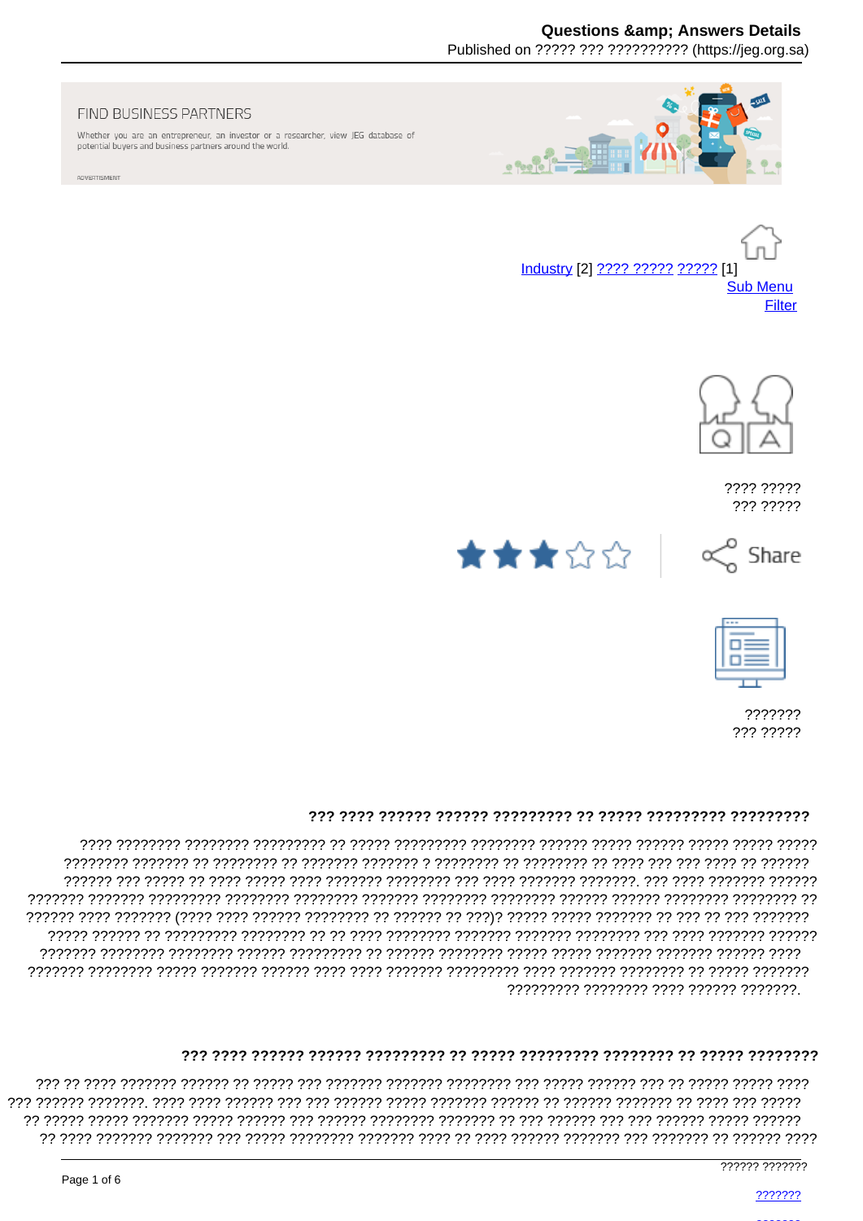# **Questions & Answers Details**

Published on ????? ??? ?????????? (https://jeg.org.sa)



#### FIND BUSINESS PARTNERS

Whether you are an entrepreneur, an investor or a researcher, view JEG database of potential buyers and business partners around the world.

ADVERTISMENT





???? ????? ??? ?????







??????? ??? ?????

### 

רררר רררררר רררכור רררכור רררכור הררכו ררכור ררכורכור רורכור רך ררכורכור ררכורך ררכורר הרכורכו ריכורים הר ????????? ???????? ???? ?????? ???????.

###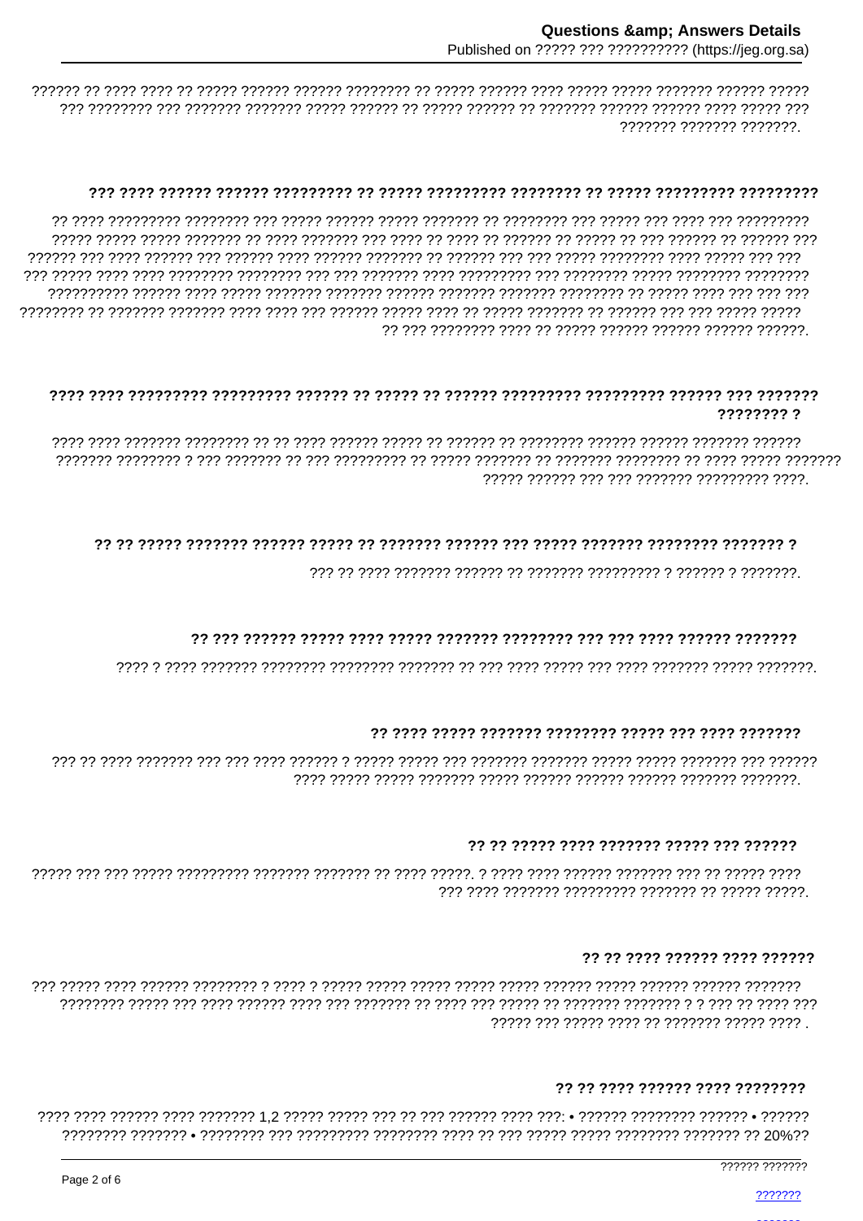#### 

ררררררררר ררר רררר ררר רררר ררר ררר הררורררר רר רררוררר רררור ררורר ררורר ררר ררר הררוררר רררורורר רורר ר ררך רררכבר רך הרכברך רבך רך הרכבר רך הרכברך רך רכבר רך הרכב רבך רכבר רכבר רכבר רך הרכבר הרכבר רכברך הרכבר 

#### ???????? ?

### 

# 

### 

#### 

### ?? ?? ???? ?????? ???? ??????

#### ?? ?? ???? ?????? ???? ????????

777777 7777777

???????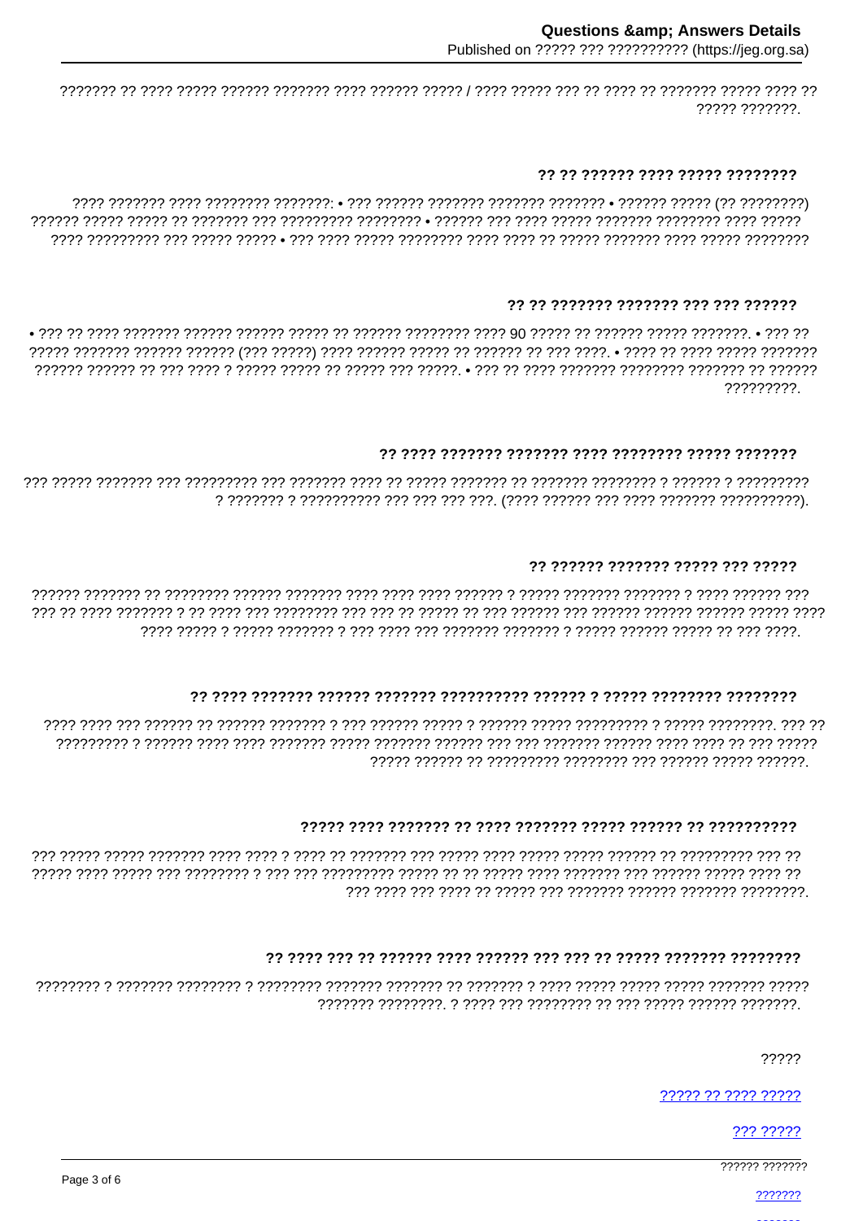,,,,,,,,,,,,,,

#### ?? ?? ?????? ???? ????? ????????

### ?? ?? ??????? ??????? ??? ??? ??????

?????????

### 

# ?? ?????? ??????? ????? ??? ?????

רררך ררכבת ברכבת ברכבת ברכבת ברכבת הרכבת ברכבת הרכבת ברכבת ברכבת ברכבת הרכבת הרכבת ברכבת הרכבת ברכבת בר ברכב 

# 

# 

# 

22222

????? ?? ???? ?????

??? ?????

7????? ???????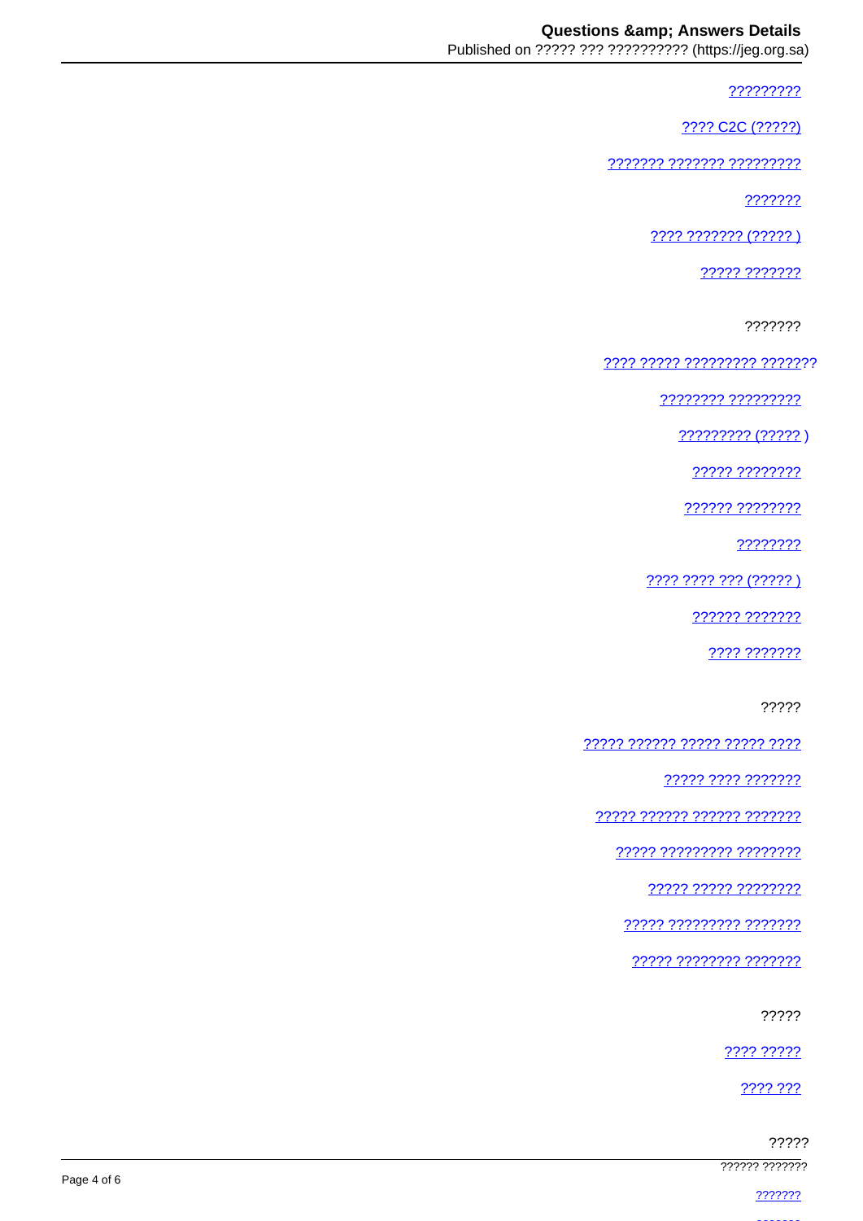?????????

???? C2C (?????)

777777 7777777 777777777

???????

???? ??????? (?????)

????? ???????

???????

???? ????? ????????? ???????

???????? ??????????

 $????????? (?????)$ 

????? ????????

?????? ????????

????????

???? ???? ??? (????? )

222222 2222222

???? ???????

?????

????? ?????? ????? ????? ????

77777 7777 7777777

<u> ????? ?????? ?????? ???????</u>

????? ????????? ????????

77777 77777 77777777

77777 777777777 7777777

????? ???????? ???????

?????

???? ?????

???? ???

|                |             | ????? |
|----------------|-------------|-------|
| ?????? ??????? | Page 4 of 6 |       |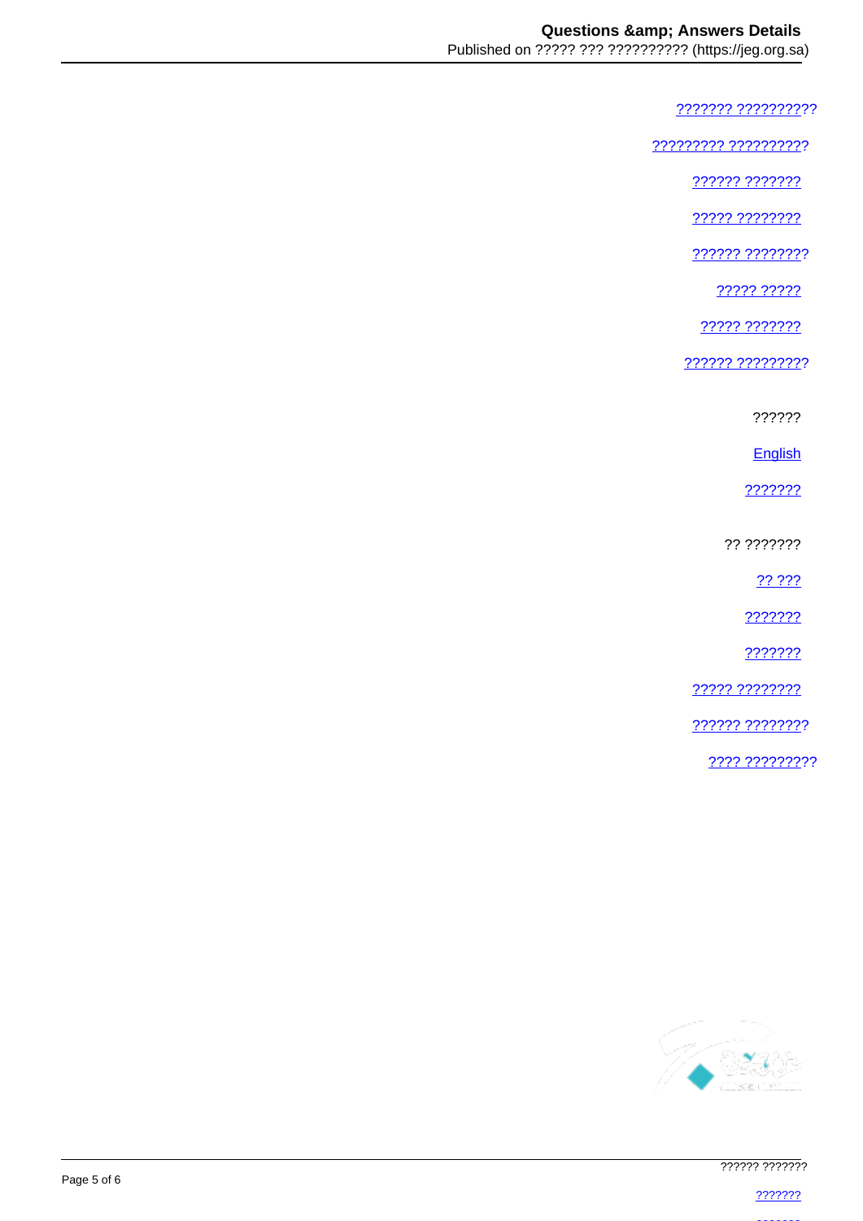??????? ??????????

<u> ????????? ??????????</u>

?????? ???????

22222 22222222

222222 22222222

22222 22222

????? ???????

?????? ?????????

??????

English

???????

?? ???????

?? ???

???????

???????

22222 22222222

777777 77777777

???? ?????????